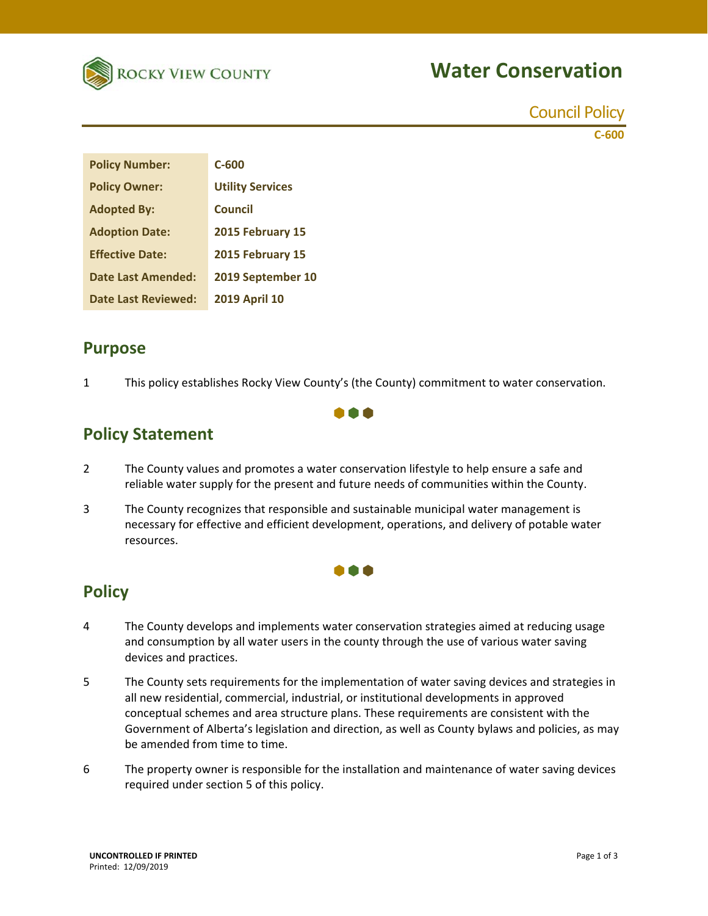

## **Water Conservation**

Council Policy

**C‐600**

| <b>Policy Number:</b>      | $C - 600$               |
|----------------------------|-------------------------|
| <b>Policy Owner:</b>       | <b>Utility Services</b> |
| <b>Adopted By:</b>         | <b>Council</b>          |
| <b>Adoption Date:</b>      | 2015 February 15        |
| <b>Effective Date:</b>     | 2015 February 15        |
| <b>Date Last Amended:</b>  | 2019 September 10       |
| <b>Date Last Reviewed:</b> | <b>2019 April 10</b>    |

#### **Purpose**

1 This policy establishes Rocky View County's (the County) commitment to water conservation.

**. . .** 

## **Policy Statement**

- 2 The County values and promotes a water conservation lifestyle to help ensure a safe and reliable water supply for the present and future needs of communities within the County.
- 3 The County recognizes that responsible and sustainable municipal water management is necessary for effective and efficient development, operations, and delivery of potable water resources.

#### 000

#### **Policy**

- 4 The County develops and implements water conservation strategies aimed at reducing usage and consumption by all water users in the county through the use of various water saving devices and practices.
- 5 The County sets requirements for the implementation of water saving devices and strategies in all new residential, commercial, industrial, or institutional developments in approved conceptual schemes and area structure plans. These requirements are consistent with the Government of Alberta's legislation and direction, as well as County bylaws and policies, as may be amended from time to time.
- 6 The property owner is responsible for the installation and maintenance of water saving devices required under section 5 of this policy.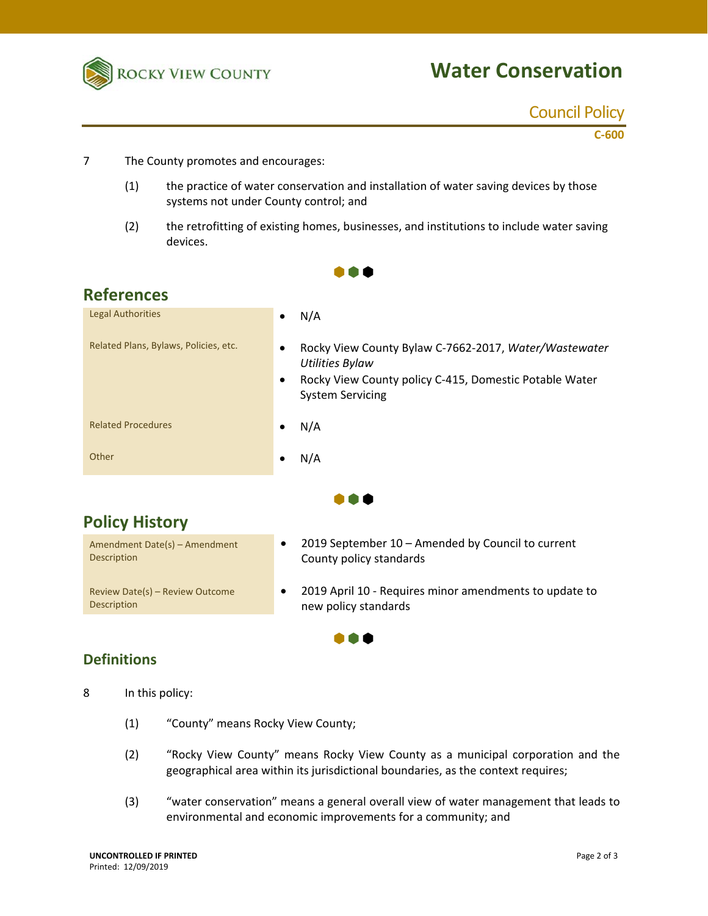

# **Water Conservation**

#### Council Policy

**C‐600**

- 7 The County promotes and encourages:
	- (1) the practice of water conservation and installation of water saving devices by those systems not under County control; and
	- (2) the retrofitting of existing homes, businesses, and institutions to include water saving devices.

 $\bullet \bullet \bullet$ 

| <b>References</b>                     |                                                                                                                                                                                |
|---------------------------------------|--------------------------------------------------------------------------------------------------------------------------------------------------------------------------------|
| <b>Legal Authorities</b>              | N/A<br>٠                                                                                                                                                                       |
| Related Plans, Bylaws, Policies, etc. | Rocky View County Bylaw C-7662-2017, Water/Wastewater<br>٠<br><b>Utilities Bylaw</b><br>Rocky View County policy C-415, Domestic Potable Water<br>٠<br><b>System Servicing</b> |
| <b>Related Procedures</b>             | N/A                                                                                                                                                                            |
| Other                                 | N/A<br>٠                                                                                                                                                                       |
|                                       |                                                                                                                                                                                |

. . .

 $\bullet \bullet \bullet$ 

## **Policy History**

Amendment Date(s) – Amendment Description Review Date(s) – Review Outcome Description new policy standards

- 2019 September 10 Amended by Council to current County policy standards
- 2019 April 10 Requires minor amendments to update to

#### **Definitions**

- 8 In this policy:
	- (1) "County" means Rocky View County;
	- (2) "Rocky View County" means Rocky View County as a municipal corporation and the geographical area within its jurisdictional boundaries, as the context requires;
	- (3) "water conservation" means a general overall view of water management that leads to environmental and economic improvements for a community; and